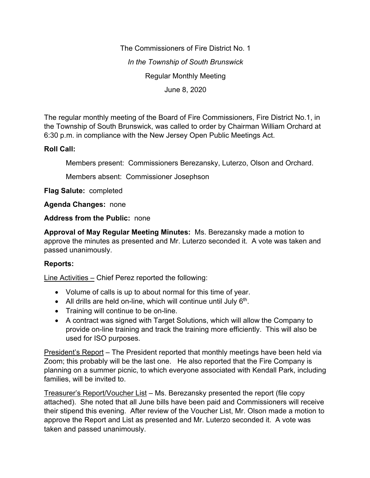The Commissioners of Fire District No. 1 *In the Township of South Brunswick* Regular Monthly Meeting June 8, 2020

The regular monthly meeting of the Board of Fire Commissioners, Fire District No.1, in the Township of South Brunswick, was called to order by Chairman William Orchard at 6:30 p.m. in compliance with the New Jersey Open Public Meetings Act.

## **Roll Call:**

Members present: Commissioners Berezansky, Luterzo, Olson and Orchard.

Members absent: Commissioner Josephson

**Flag Salute:** completed

**Agenda Changes:** none

**Address from the Public:** none

**Approval of May Regular Meeting Minutes:** Ms. Berezansky made a motion to approve the minutes as presented and Mr. Luterzo seconded it. A vote was taken and passed unanimously.

# **Reports:**

Line Activities – Chief Perez reported the following:

- Volume of calls is up to about normal for this time of year.
- All drills are held on-line, which will continue until July  $6<sup>th</sup>$ .
- Training will continue to be on-line.
- A contract was signed with Target Solutions, which will allow the Company to provide on-line training and track the training more efficiently. This will also be used for ISO purposes.

President's Report – The President reported that monthly meetings have been held via Zoom; this probably will be the last one. He also reported that the Fire Company is planning on a summer picnic, to which everyone associated with Kendall Park, including families, will be invited to.

Treasurer's Report/Voucher List – Ms. Berezansky presented the report (file copy attached). She noted that all June bills have been paid and Commissioners will receive their stipend this evening. After review of the Voucher List, Mr. Olson made a motion to approve the Report and List as presented and Mr. Luterzo seconded it. A vote was taken and passed unanimously.